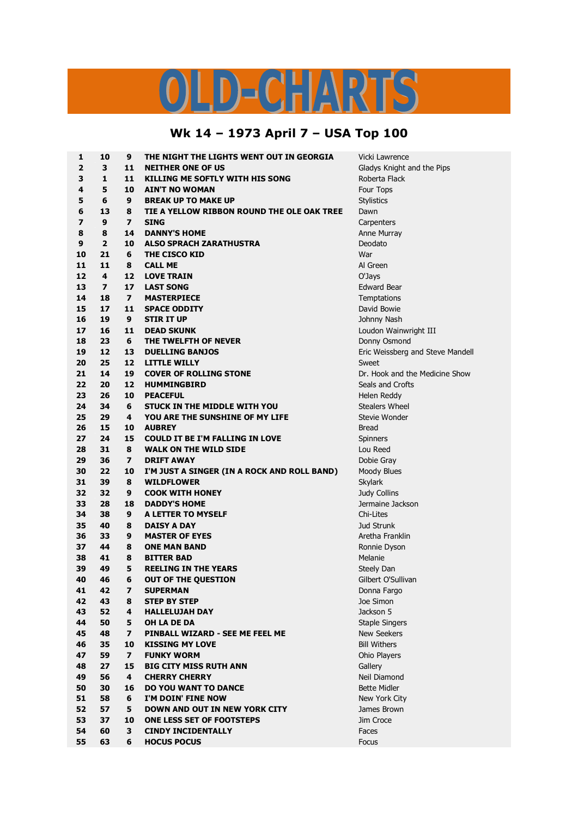## LD-CHARTS

## **Wk 14 – 1973 April 7 – USA Top 100**

| 1                       | 10               | 9              | THE NIGHT THE LIGHTS WENT OUT IN GEORGIA    | Vicki Lawrence                   |
|-------------------------|------------------|----------------|---------------------------------------------|----------------------------------|
| $\overline{2}$          | 3                | 11             | <b>NEITHER ONE OF US</b>                    | Gladys Knight and the Pips       |
| 3                       | $\mathbf{1}$     | 11             | KILLING ME SOFTLY WITH HIS SONG             | Roberta Flack                    |
| 4                       | 5                | 10             | <b>AIN'T NO WOMAN</b>                       | Four Tops                        |
| 5                       | 6                | 9              | <b>BREAK UP TO MAKE UP</b>                  | <b>Stylistics</b>                |
| 6                       | 13               | 8              | TIE A YELLOW RIBBON ROUND THE OLE OAK TREE  | Dawn                             |
| $\overline{\mathbf{z}}$ | $\boldsymbol{9}$ | $\overline{ }$ | <b>SING</b>                                 | Carpenters                       |
| 8                       | 8                | 14             | <b>DANNY'S HOME</b>                         | Anne Murray                      |
| 9                       | $\overline{2}$   | 10             | <b>ALSO SPRACH ZARATHUSTRA</b>              | Deodato                          |
| 10                      | 21               | 6              | THE CISCO KID                               | War                              |
| 11                      | 11               | 8              | <b>CALL ME</b>                              | Al Green                         |
| 12                      | 4                | 12             | <b>LOVE TRAIN</b>                           | O'Jays                           |
| 13                      | $\overline{ }$   | 17             | <b>LAST SONG</b>                            | <b>Edward Bear</b>               |
| 14                      | 18               | $\overline{ }$ | <b>MASTERPIECE</b>                          | Temptations                      |
| 15                      | 17               | 11             | <b>SPACE ODDITY</b>                         | David Bowie                      |
| 16                      | 19               | 9              | <b>STIR IT UP</b>                           | Johnny Nash                      |
| 17                      | 16               | 11             | <b>DEAD SKUNK</b>                           | Loudon Wainwright III            |
| 18                      | 23               | 6              | THE TWELFTH OF NEVER                        | Donny Osmond                     |
| 19                      | 12               | 13             | <b>DUELLING BANJOS</b>                      | Eric Weissberg and Steve Mandell |
| 20                      | 25               | 12             | <b>LITTLE WILLY</b>                         | Sweet                            |
| 21                      | 14               | 19             | <b>COVER OF ROLLING STONE</b>               | Dr. Hook and the Medicine Show   |
| 22                      | 20               | 12             | <b>HUMMINGBIRD</b>                          | Seals and Crofts                 |
| 23                      | 26               | 10             |                                             |                                  |
|                         |                  |                | <b>PEACEFUL</b>                             | Helen Reddy                      |
| 24                      | 34               | 6              | <b>STUCK IN THE MIDDLE WITH YOU</b>         | <b>Stealers Wheel</b>            |
| 25                      | 29               | 4              | YOU ARE THE SUNSHINE OF MY LIFE             | Stevie Wonder                    |
| 26                      | 15               | 10             | <b>AUBREY</b>                               | Bread                            |
| 27                      | 24               | 15             | <b>COULD IT BE I'M FALLING IN LOVE</b>      | <b>Spinners</b>                  |
| 28                      | 31               | 8              | <b>WALK ON THE WILD SIDE</b>                | Lou Reed                         |
| 29                      | 36               | $\overline{ }$ | <b>DRIFT AWAY</b>                           | Dobie Gray                       |
| 30                      | 22               | 10             | I'M JUST A SINGER (IN A ROCK AND ROLL BAND) | Moody Blues                      |
| 31                      | 39               | 8              | <b>WILDFLOWER</b>                           | Skylark                          |
| 32                      | 32               | 9              | <b>COOK WITH HONEY</b>                      | Judy Collins                     |
| 33                      | 28               | 18             | <b>DADDY'S HOME</b>                         | Jermaine Jackson                 |
| 34                      | 38               | 9              | A LETTER TO MYSELF                          | Chi-Lites                        |
| 35                      | 40               | 8              | <b>DAISY A DAY</b>                          | <b>Jud Strunk</b>                |
| 36                      | 33               | 9              | <b>MASTER OF EYES</b>                       | Aretha Franklin                  |
| 37                      | 44               | 8              | <b>ONE MAN BAND</b>                         | Ronnie Dyson                     |
| 38                      | 41               | 8              | <b>BITTER BAD</b>                           | Melanie                          |
| 39                      | 49               | 5              | <b>REELING IN THE YEARS</b>                 | Steely Dan                       |
| 40                      | 46               | 6              | OUT OF THE QUESTION                         | Gilbert O'Sullivan               |
| 41                      | 42               | 7              | <b>SUPERMAN</b>                             | Donna Fargo                      |
| 42                      | 43               | 8              | <b>STEP BY STEP</b>                         | Joe Simon                        |
| 43                      | 52               | 4              | <b>HALLELUJAH DAY</b>                       | Jackson 5                        |
| 44                      | 50               | 5              | OH LA DE DA                                 | <b>Staple Singers</b>            |
| 45                      | 48               | $\overline{ }$ | PINBALL WIZARD - SEE ME FEEL ME             | <b>New Seekers</b>               |
| 46                      | 35               | 10             | <b>KISSING MY LOVE</b>                      | <b>Bill Withers</b>              |
| 47                      | 59               | $\overline{ }$ | <b>FUNKY WORM</b>                           | Ohio Players                     |
| 48                      | 27               | 15             | <b>BIG CITY MISS RUTH ANN</b>               | Gallery                          |
| 49                      | 56               | 4              | <b>CHERRY CHERRY</b>                        | Neil Diamond                     |
| 50                      | 30               | 16             | <b>DO YOU WANT TO DANCE</b>                 | <b>Bette Midler</b>              |
| 51                      | 58               | 6              | I'M DOIN' FINE NOW                          | New York City                    |
| 52                      | 57               | 5              | <b>DOWN AND OUT IN NEW YORK CITY</b>        | James Brown                      |
| 53                      | 37               | 10             | ONE LESS SET OF FOOTSTEPS                   | Jim Croce                        |
| 54                      | 60               | 3              | <b>CINDY INCIDENTALLY</b>                   | Faces                            |
| 55                      | 63               | 6              | <b>HOCUS POCUS</b>                          | Focus                            |